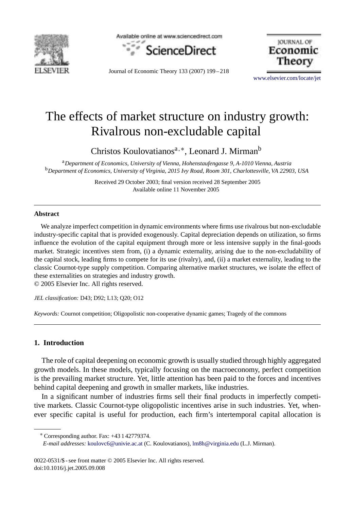

Available online at www.sciencedirect.com



JOURNAL OF Economic Theory

Journal of Economic Theory 133 (2007) 199 – 218

[www.elsevier.com/locate/jet](http://www.elsevier.com/locate/jet)

## The effects of market structure on industry growth: Rivalrous non-excludable capital

Christos Koulovatianos<sup>a,</sup>\*, Leonard J. Mirman<sup>b</sup>

<sup>a</sup>*Department of Economics, University of Vienna, Hohenstaufengasse 9, A-1010 Vienna, Austria* <sup>b</sup>*Department of Economics, University of Virginia, 2015 Ivy Road, Room 301, Charlottesville, VA 22903, USA*

> Received 29 October 2003; final version received 28 September 2005 Available online 11 November 2005

## **Abstract**

We analyze imperfect competition in dynamic environments where firms use rivalrous but non-excludable industry-specific capital that is provided exogenously. Capital depreciation depends on utilization, so firms influence the evolution of the capital equipment through more or less intensive supply in the final-goods market. Strategic incentives stem from, (i) a dynamic externality, arising due to the non-excludability of the capital stock, leading firms to compete for its use (rivalry), and, (ii) a market externality, leading to the classic Cournot-type supply competition. Comparing alternative market structures, we isolate the effect of these externalities on strategies and industry growth.

© 2005 Elsevier Inc. All rights reserved.

*JEL classification:* D43; D92; L13; Q20; O12

*Keywords:* Cournot competition; Oligopolistic non-cooperative dynamic games; Tragedy of the commons

## **1. Introduction**

The role of capital deepening on economic growth is usually studied through highly aggregated growth models. In these models, typically focusing on the macroeconomy, perfect competition is the prevailing market structure. Yet, little attention has been paid to the forces and incentives behind capital deepening and growth in smaller markets, like industries.

In a significant number of industries firms sell their final products in imperfectly competitive markets. Classic Cournot-type oligopolistic incentives arise in such industries. Yet, whenever specific capital is useful for production, each firm's intertemporal capital allocation is

0022-0531/\$ - see front matter © 2005 Elsevier Inc. All rights reserved. doi:10.1016/j.jet.2005.09.008

<sup>∗</sup> Corresponding author. Fax: +43 1 42779374.

*E-mail addresses:* [koulovc6@univie.ac.at](mailto:koulovc6@univie.ac.at) (C. Koulovatianos), [lm8h@virginia.edu](mailto:lm8h@virginia.edu) (L.J. Mirman).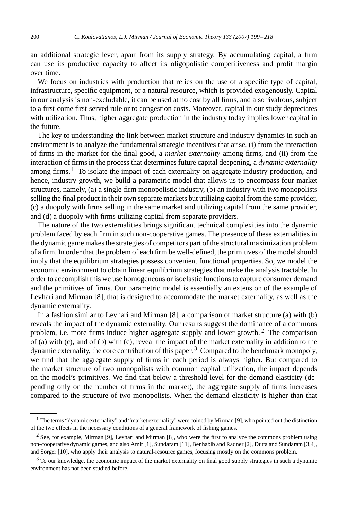an additional strategic lever, apart from its supply strategy. By accumulating capital, a firm can use its productive capacity to affect its oligopolistic competitiveness and profit margin over time.

We focus on industries with production that relies on the use of a specific type of capital, infrastructure, specific equipment, or a natural resource, which is provided exogenously. Capital in our analysis is non-excludable, it can be used at no cost by all firms, and also rivalrous, subject to a first-come first-served rule or to congestion costs. Moreover, capital in our study depreciates with utilization. Thus, higher aggregate production in the industry today implies lower capital in the future.

The key to understanding the link between market structure and industry dynamics in such an environment is to analyze the fundamental strategic incentives that arise, (i) from the interaction of firms in the market for the final good, a *market externality* among firms, and (ii) from the interaction of firms in the process that determines future capital deepening, a *dynamic externality* among firms.  $\frac{1}{1}$  To isolate the impact of each externality on aggregate industry production, and hence, industry growth, we build a parametric model that allows us to encompass four market structures, namely, (a) a single-firm monopolistic industry, (b) an industry with two monopolists selling the final product in their own separate markets but utilizing capital from the same provider, (c) a duopoly with firms selling in the same market and utilizing capital from the same provider, and (d) a duopoly with firms utilizing capital from separate providers.

The nature of the two externalities brings significant technical complexities into the dynamic problem faced by each firm in such non-cooperative games. The presence of these externalities in the dynamic game makes the strategies of competitors part of the structural maximization problem of a firm. In order that the problem of each firm be well-defined, the primitives of the model should imply that the equilibrium strategies possess convenient functional properties. So, we model the economic environment to obtain linear equilibrium strategies that make the analysis tractable. In order to accomplish this we use homogeneous or isoelastic functions to capture consumer demand and the primitives of firms. Our parametric model is essentially an extension of the example of Levhari and Mirman [\[8\],](#page--1-0) that is designed to accommodate the market externality, as well as the dynamic externality.

In a fashion similar to Levhari and Mirman [\[8\],](#page--1-0) a comparison of market structure (a) with (b) reveals the impact of the dynamic externality. Our results suggest the dominance of a commons problem, i.e. more firms induce higher aggregate supply and lower growth. <sup>2</sup> The comparison of (a) with (c), and of (b) with (c), reveal the impact of the market externality in addition to the dynamic externality, the core contribution of this paper. <sup>3</sup> Compared to the benchmark monopoly, we find that the aggregate supply of firms in each period is always higher. But compared to the market structure of two monopolists with common capital utilization, the impact depends on the model's primitives. We find that below a threshold level for the demand elasticity (depending only on the number of firms in the market), the aggregate supply of firms increases compared to the structure of two monopolists. When the demand elasticity is higher than that

<sup>&</sup>lt;sup>1</sup> The terms "dynamic externality" and "market externality" were coined by Mirman [\[9\],](#page--1-0) who pointed out the distinction of the two effects in the necessary conditions of a general framework of fishing games.

<sup>2</sup> See, for example, Mirman [\[9\],](#page--1-0) Levhari and Mirman [\[8\],](#page--1-0) who were the first to analyze the commons problem using non-cooperative dynamic games, and also Amir [\[1\],](#page--1-0) Sundaram [\[11\],](#page--1-0) Benhabib and Radner [\[2\],](#page--1-0) Dutta and Sundaram [\[3,4\],](#page--1-0) and Sorger [\[10\],](#page--1-0) who apply their analysis to natural-resource games, focusing mostly on the commons problem.

<sup>&</sup>lt;sup>3</sup> To our knowledge, the economic impact of the market externality on final good supply strategies in such a dynamic environment has not been studied before.